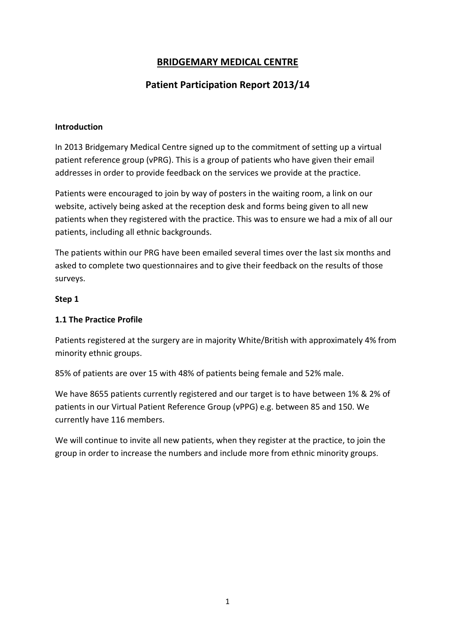# **BRIDGEMARY MEDICAL CENTRE**

# **Patient Participation Report 2013/14**

#### **Introduction**

In 2013 Bridgemary Medical Centre signed up to the commitment of setting up a virtual patient reference group (vPRG). This is a group of patients who have given their email addresses in order to provide feedback on the services we provide at the practice.

Patients were encouraged to join by way of posters in the waiting room, a link on our website, actively being asked at the reception desk and forms being given to all new patients when they registered with the practice. This was to ensure we had a mix of all our patients, including all ethnic backgrounds.

The patients within our PRG have been emailed several times over the last six months and asked to complete two questionnaires and to give their feedback on the results of those surveys.

### **Step 1**

### **1.1 The Practice Profile**

Patients registered at the surgery are in majority White/British with approximately 4% from minority ethnic groups.

85% of patients are over 15 with 48% of patients being female and 52% male.

We have 8655 patients currently registered and our target is to have between 1% & 2% of patients in our Virtual Patient Reference Group (vPPG) e.g. between 85 and 150. We currently have 116 members.

We will continue to invite all new patients, when they register at the practice, to join the group in order to increase the numbers and include more from ethnic minority groups.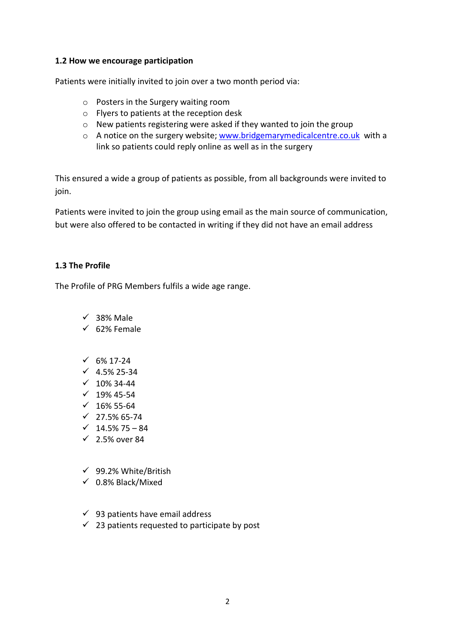#### **1.2 How we encourage participation**

Patients were initially invited to join over a two month period via:

- o Posters in the Surgery waiting room
- o Flyers to patients at the reception desk
- o New patients registering were asked if they wanted to join the group
- o A notice on the surgery website; www.bridgemarymedicalcentre.co.uk with a link so patients could reply online as well as in the surgery

This ensured a wide a group of patients as possible, from all backgrounds were invited to join.

Patients were invited to join the group using email as the main source of communication, but were also offered to be contacted in writing if they did not have an email address

### **1.3 The Profile**

The Profile of PRG Members fulfils a wide age range.

- $\checkmark$  38% Male
- $\checkmark$  62% Female
- $\times$  6% 17-24
- $\checkmark$  4.5% 25-34
- $\times$  10% 34-44
- $\times$  19% 45-54
- $\times$  16% 55-64
- $\checkmark$  27.5% 65-74
- $\checkmark$  14.5% 75 84
- $\checkmark$  2.5% over 84
- $\checkmark$  99.2% White/British
- $\times$  0.8% Black/Mixed
- $\checkmark$  93 patients have email address
- $\checkmark$  23 patients requested to participate by post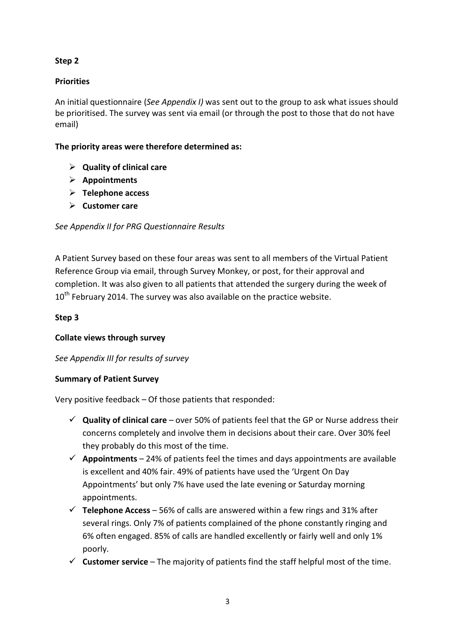## **Step 2**

# **Priorities**

An initial questionnaire (*See Appendix I)* was sent out to the group to ask what issues should be prioritised. The survey was sent via email (or through the post to those that do not have email)

## **The priority areas were therefore determined as:**

- **Quality of clinical care**
- **Appointments**
- **Telephone access**
- **Customer care**

## *See Appendix II for PRG Questionnaire Results*

A Patient Survey based on these four areas was sent to all members of the Virtual Patient Reference Group via email, through Survey Monkey, or post, for their approval and completion. It was also given to all patients that attended the surgery during the week of  $10^{th}$  February 2014. The survey was also available on the practice website.

# **Step 3**

## **Collate views through survey**

# *See Appendix III for results of survey*

## **Summary of Patient Survey**

Very positive feedback – Of those patients that responded:

- **Quality of clinical care** over 50% of patients feel that the GP or Nurse address their concerns completely and involve them in decisions about their care. Over 30% feel they probably do this most of the time.
- $\checkmark$  Appointments 24% of patients feel the times and days appointments are available is excellent and 40% fair. 49% of patients have used the 'Urgent On Day Appointments' but only 7% have used the late evening or Saturday morning appointments.
- $\checkmark$  Telephone Access 56% of calls are answered within a few rings and 31% after several rings. Only 7% of patients complained of the phone constantly ringing and 6% often engaged. 85% of calls are handled excellently or fairly well and only 1% poorly.
- $\checkmark$  **Customer service** The majority of patients find the staff helpful most of the time.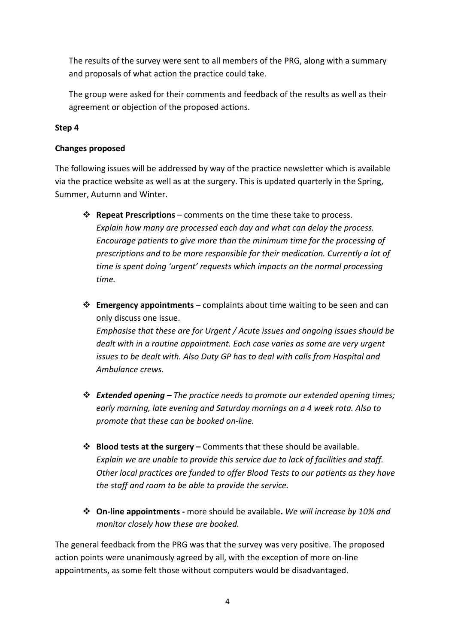The results of the survey were sent to all members of the PRG, along with a summary and proposals of what action the practice could take.

The group were asked for their comments and feedback of the results as well as their agreement or objection of the proposed actions.

### **Step 4**

#### **Changes proposed**

The following issues will be addressed by way of the practice newsletter which is available via the practice website as well as at the surgery. This is updated quarterly in the Spring, Summer, Autumn and Winter.

- **Repeat Prescriptions** comments on the time these take to process. *Explain how many are processed each day and what can delay the process. Encourage patients to give more than the minimum time for the processing of prescriptions and to be more responsible for their medication. Currently a lot of time is spent doing 'urgent' requests which impacts on the normal processing time.*
- **Emergency appointments** complaints about time waiting to be seen and can only discuss one issue. *Emphasise that these are for Urgent / Acute issues and ongoing issues should be dealt with in a routine appointment. Each case varies as some are very urgent issues to be dealt with. Also Duty GP has to deal with calls from Hospital and Ambulance crews.*
- *Extended opening The practice needs to promote our extended opening times; early morning, late evening and Saturday mornings on a 4 week rota. Also to promote that these can be booked on-line.*
- **Blood tests at the surgery –** Comments that these should be available. *Explain we are unable to provide this service due to lack of facilities and staff. Other local practices are funded to offer Blood Tests to our patients as they have the staff and room to be able to provide the service.*
- **On-line appointments** more should be available**.** *We will increase by 10% and monitor closely how these are booked.*

The general feedback from the PRG was that the survey was very positive. The proposed action points were unanimously agreed by all, with the exception of more on-line appointments, as some felt those without computers would be disadvantaged.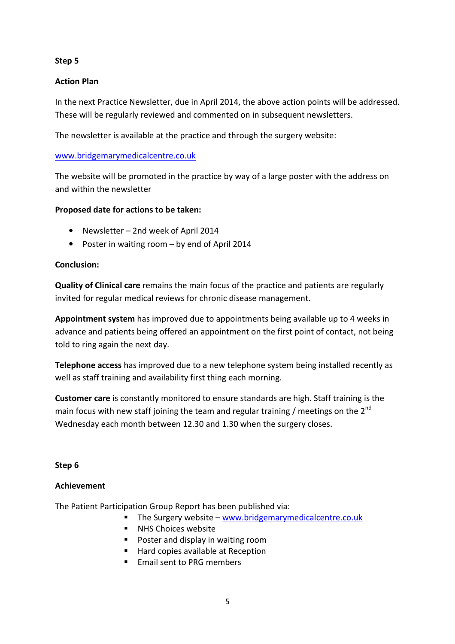## **Step 5**

## **Action Plan**

In the next Practice Newsletter, due in April 2014, the above action points will be addressed. These will be regularly reviewed and commented on in subsequent newsletters.

The newsletter is available at the practice and through the surgery website:

### www.bridgemarymedicalcentre.co.uk

The website will be promoted in the practice by way of a large poster with the address on and within the newsletter

### **Proposed date for actions to be taken:**

- Newsletter 2nd week of April 2014
- Poster in waiting room by end of April 2014

### **Conclusion:**

**Quality of Clinical care** remains the main focus of the practice and patients are regularly invited for regular medical reviews for chronic disease management.

**Appointment system** has improved due to appointments being available up to 4 weeks in advance and patients being offered an appointment on the first point of contact, not being told to ring again the next day.

**Telephone access** has improved due to a new telephone system being installed recently as well as staff training and availability first thing each morning.

**Customer care** is constantly monitored to ensure standards are high. Staff training is the main focus with new staff joining the team and regular training / meetings on the  $2^{nd}$ Wednesday each month between 12.30 and 1.30 when the surgery closes.

#### **Step 6**

### **Achievement**

The Patient Participation Group Report has been published via:

- The Surgery website www.bridgemarymedicalcentre.co.uk
- **NHS Choices website**
- **Poster and display in waiting room**
- Hard copies available at Reception
- Email sent to PRG members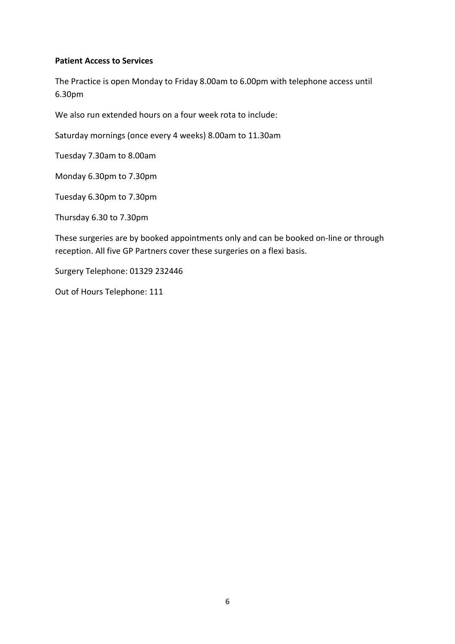### **Patient Access to Services**

The Practice is open Monday to Friday 8.00am to 6.00pm with telephone access until 6.30pm

We also run extended hours on a four week rota to include:

Saturday mornings (once every 4 weeks) 8.00am to 11.30am

Tuesday 7.30am to 8.00am

Monday 6.30pm to 7.30pm

Tuesday 6.30pm to 7.30pm

Thursday 6.30 to 7.30pm

These surgeries are by booked appointments only and can be booked on-line or through reception. All five GP Partners cover these surgeries on a flexi basis.

Surgery Telephone: 01329 232446

Out of Hours Telephone: 111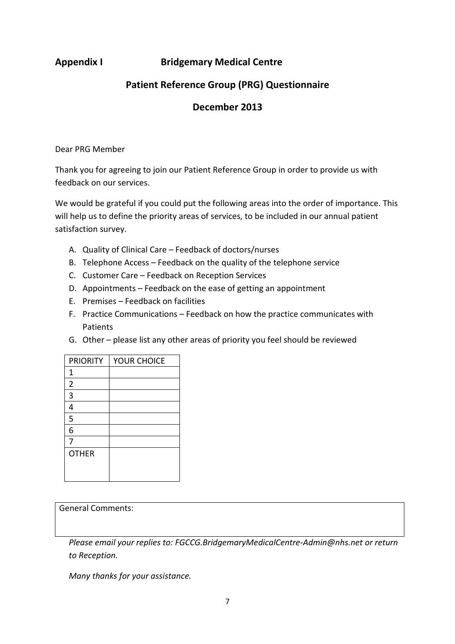# **Appendix I Bridgemary Medical Centre**

# **Patient Reference Group (PRG) Questionnaire**

# **December 2013**

Dear PRG Member

Thank you for agreeing to join our Patient Reference Group in order to provide us with feedback on our services.

We would be grateful if you could put the following areas into the order of importance. This will help us to define the priority areas of services, to be included in our annual patient satisfaction survey.

- A. Quality of Clinical Care Feedback of doctors/nurses
- B. Telephone Access Feedback on the quality of the telephone service
- C. Customer Care Feedback on Reception Services
- D. Appointments Feedback on the ease of getting an appointment
- E. Premises Feedback on facilities
- F. Practice Communications Feedback on how the practice communicates with Patients
- G. Other please list any other areas of priority you feel should be reviewed

| <b>PRIORITY</b> | YOUR CHOICE |
|-----------------|-------------|
| 1               |             |
| $\overline{2}$  |             |
| 3               |             |
| 4               |             |
| 5               |             |
| 6               |             |
| 7               |             |
| <b>OTHER</b>    |             |
|                 |             |
|                 |             |

### General Comments:

*Please email your replies to: FGCCG.BridgemaryMedicalCentre-Admin@nhs.net or return to Reception.* 

*Many thanks for your assistance.*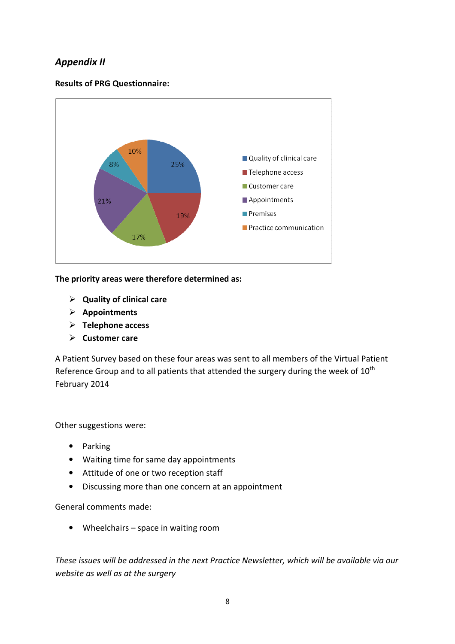# *Appendix II*

### **Results of PRG Questionnaire:**



**The priority areas were therefore determined as:** 

- **Quality of clinical care**
- **Appointments**
- **Telephone access**
- **Customer care**

A Patient Survey based on these four areas was sent to all members of the Virtual Patient Reference Group and to all patients that attended the surgery during the week of  $10^{th}$ February 2014

Other suggestions were:

- Parking
- Waiting time for same day appointments
- Attitude of one or two reception staff
- Discussing more than one concern at an appointment

General comments made:

• Wheelchairs – space in waiting room

*These issues will be addressed in the next Practice Newsletter, which will be available via our website as well as at the surgery*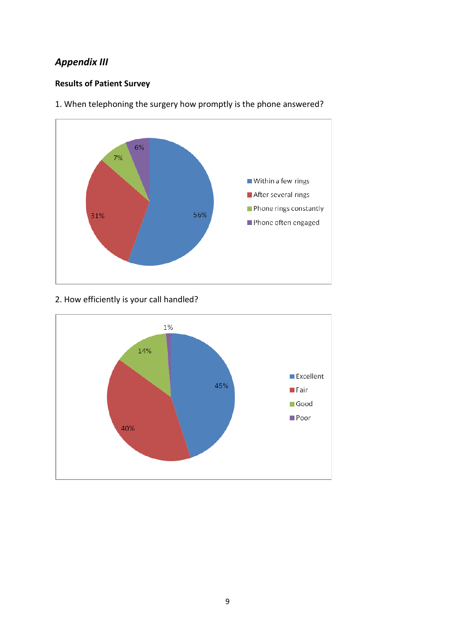# *Appendix III*

# **Results of Patient Survey**



1. When telephoning the surgery how promptly is the phone answered?

# 2. How efficiently is your call handled?

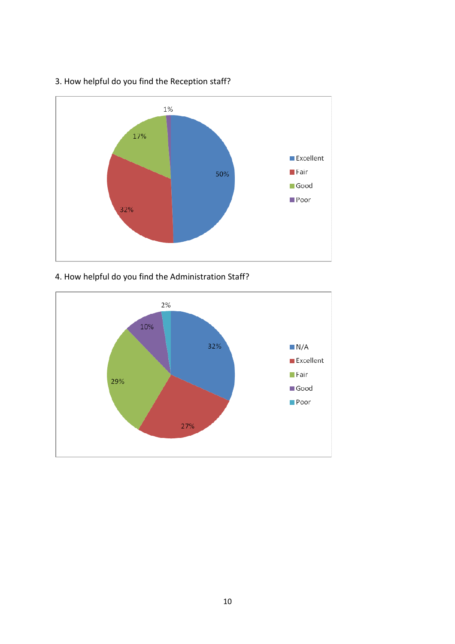

# 3. How helpful do you find the Reception staff?

# 4. How helpful do you find the Administration Staff?

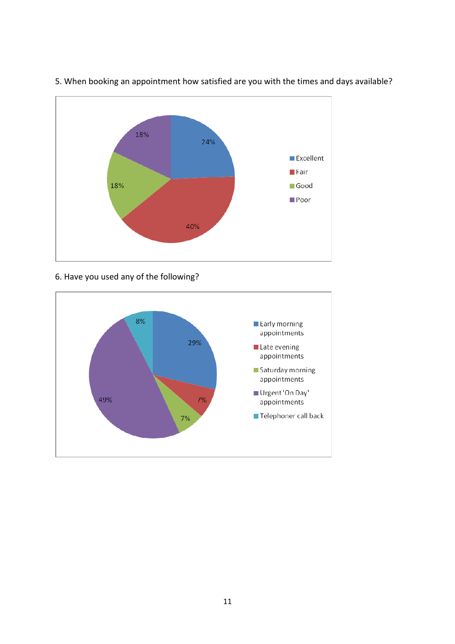

## 5. When booking an appointment how satisfied are you with the times and days available?

6. Have you used any of the following?

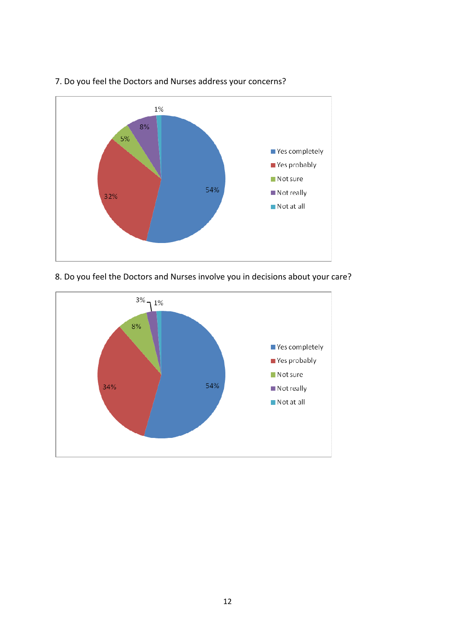

## 7. Do you feel the Doctors and Nurses address your concerns?

8. Do you feel the Doctors and Nurses involve you in decisions about your care?

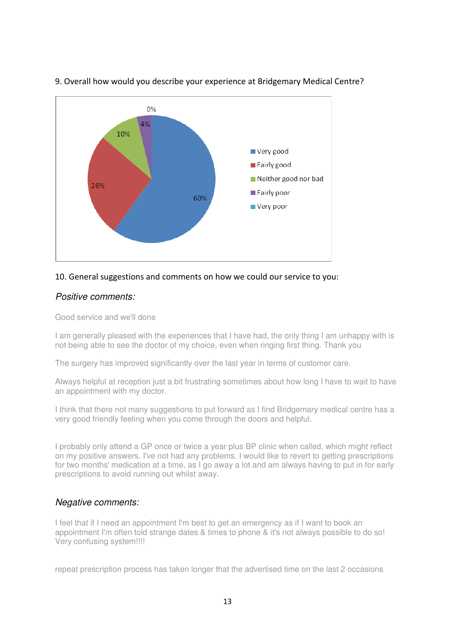

### 9. Overall how would you describe your experience at Bridgemary Medical Centre?

#### 10. General suggestions and comments on how we could our service to you:

### Positive comments:

Good service and we'll done

I am generally pleased with the experiences that I have had, the only thing I am unhappy with is not being able to see the doctor of my choice, even when ringing first thing. Thank you

The surgery has improved significantly over the last year in terms of customer care.

Always helpful at reception just a bit frustrating sometimes about how long I have to wait to have an appointment with my doctor.

I think that there not many suggestions to put forward as I find Bridgemary medical centre has a very good friendly feeling when you come through the doors and helpful.

I probably only attend a GP once or twice a year plus BP clinic when called, which might reflect on my positive answers. I've not had any problems. I would like to revert to getting prescriptions for two months' medication at a time, as I go away a lot and am always having to put in for early prescriptions to avoid running out whilst away.

#### Negative comments:

I feel that if I need an appointment I'm best to get an emergency as if I want to book an appointment I'm often told strange dates & times to phone & it's not always possible to do so! Very confusing system!!!!

repeat prescription process has taken longer that the advertised time on the last 2 occasions